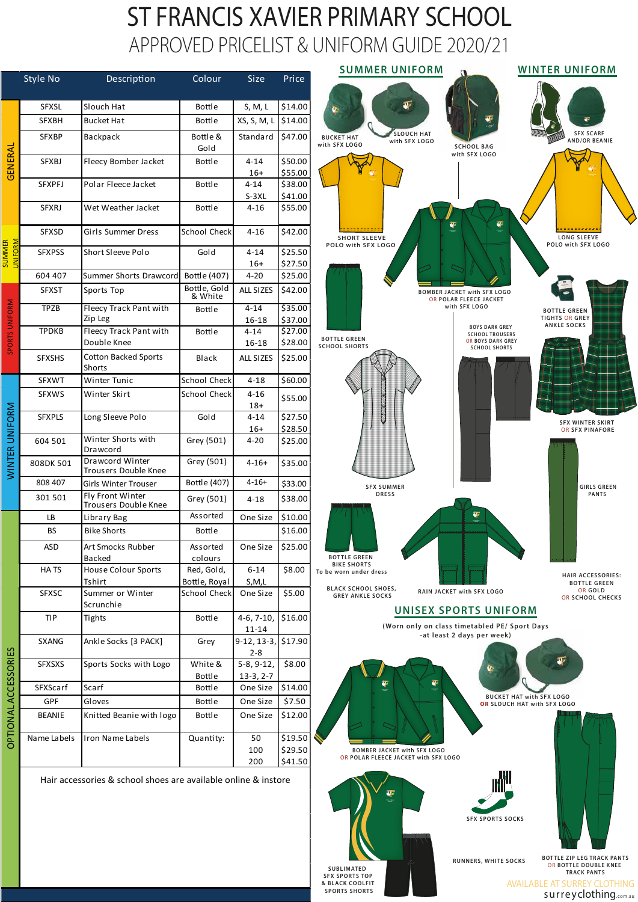## ST FRANCIS XAVIER PRIMARY SCHOOL APPROVED PRICELIST & UNIFORM GUIDE 2020/21





|                                           | Style No      | Description                                                    | Colour                   | <b>Size</b>                 | Price                          |    |
|-------------------------------------------|---------------|----------------------------------------------------------------|--------------------------|-----------------------------|--------------------------------|----|
|                                           | <b>SFXSL</b>  | Slouch Hat                                                     | <b>Bottle</b>            | S, M, L                     | \$14.00                        |    |
| GENERAL<br><b>SUMMMER</b><br><b>IFORM</b> | <b>SFXBH</b>  | <b>Bucket Hat</b>                                              | <b>Bottle</b>            | XS, S, M, L                 | \$14.00                        |    |
|                                           | <b>SFXBP</b>  | Backpack                                                       | Bottle &<br>Gold         | Standard                    | \$47.00                        | W  |
|                                           | <b>SFXBJ</b>  | Fleecy Bomber Jacket                                           | <b>Bottle</b>            | $4 - 14$                    | \$50.00                        |    |
|                                           |               |                                                                |                          | $16+$                       | \$55.00                        |    |
|                                           | <b>SFXPFJ</b> | Polar Fleece Jacket                                            | <b>Bottle</b>            | $4 - 14$                    | \$38.00                        |    |
|                                           | <b>SFXRJ</b>  | Wet Weather Jacket                                             | <b>Bottle</b>            | $S-3XL$<br>$4 - 16$         | \$41.00<br>\$55.00             |    |
|                                           | <b>SFXSD</b>  | Girls Summer Dress                                             | <b>School Check</b>      | $4 - 16$                    | \$42.00                        |    |
|                                           | <b>SFXPSS</b> | <b>Short Sleeve Polo</b>                                       | Gold                     | $4 - 14$<br>$16+$           | \$25.50<br>\$27.50             |    |
|                                           | 604 407       | Summer Shorts Drawcord                                         | Bottle (407)             | $4 - 20$                    | \$25.00                        |    |
| SPORTS UNIFORM                            | <b>SFXST</b>  | Sports Top                                                     | Bottle, Gold<br>& White  | <b>ALL SIZES</b>            | \$42.00                        |    |
|                                           | <b>TPZB</b>   | Fleecy Track Pant with                                         | <b>Bottle</b>            | $4 - 14$                    | \$35.00                        |    |
|                                           | <b>TPDKB</b>  | Zip Leg                                                        |                          | 16-18                       | \$37.00                        |    |
|                                           |               | Fleecy Track Pant with<br>Double Knee                          | <b>Bottle</b>            | $4 - 14$<br>16-18           | $\overline{$}27.00$<br>\$28.00 |    |
|                                           | <b>SFXSHS</b> | <b>Cotton Backed Sports</b><br><b>Shorts</b>                   | <b>Black</b>             | <b>ALL SIZES</b>            | \$25.00                        | s  |
| ⋝<br><b>WINTER UNIFOR</b>                 | <b>SFXWT</b>  | Winter Tunic                                                   | School Check             | $4 - 18$                    | \$60.00                        |    |
|                                           | <b>SFXWS</b>  | Winter Skirt                                                   | <b>School Check</b>      | $4 - 16$<br>$18+$           | \$55.00                        |    |
|                                           | <b>SFXPLS</b> | Long Sleeve Polo                                               | Gold                     | $4 - 14$                    | \$27.50                        |    |
|                                           |               |                                                                |                          | $16+$                       | \$28.50                        |    |
|                                           | 604 501       | Winter Shorts with<br>Drawcord                                 | Grey (501)               | $4 - 20$                    | \$25.00                        |    |
|                                           | 808DK 501     | Drawcord Winter<br><b>Trousers Double Knee</b>                 | Grey (501)               | $4 - 16 +$                  | \$35.00                        |    |
|                                           | 808 407       | <b>Girls Winter Trouser</b>                                    | Bottle (407)             | $4 - 16 +$                  | \$33.00                        |    |
|                                           | 301 501       | Fly Front Winter<br>Trousers Double Knee                       | Grey (501)               | $4 - 18$                    | \$38.00                        |    |
| <b>PTIONAL ACCESSORIES</b>                | <b>LB</b>     | Library Bag                                                    | Assorted                 | One Size                    | \$10.00                        |    |
|                                           | <b>BS</b>     | <b>Bike Shorts</b>                                             | <b>Bottle</b>            |                             | \$16.00                        |    |
|                                           | <b>ASD</b>    | Art Smocks Rubber                                              | Assorted                 | One Size                    | \$25.00                        |    |
|                                           | <b>HATS</b>   | <b>Backed</b><br><b>House Colour Sports</b>                    | colours<br>Red, Gold,    | $6 - 14$                    | \$8.00                         | To |
|                                           |               | Tshirt                                                         | Bottle, Royal            | S, M, L                     |                                |    |
|                                           | <b>SFXSC</b>  | Summer or Winter<br>Scrunchie                                  | <b>School Check</b>      | One Size                    | \$5.00                         |    |
|                                           | <b>TIP</b>    | Tights                                                         | <b>Bottle</b>            | $4-6, 7-10,$<br>$11 - 14$   | \$16.00                        |    |
|                                           | <b>SXANG</b>  | Ankle Socks [3 PACK]                                           | Grey                     | $9-12, 13-3,$<br>$2 - 8$    | \$17.90                        |    |
|                                           | <b>SFXSXS</b> | Sports Socks with Logo                                         | White &<br><b>Bottle</b> | $5-8, 9-12,$<br>$13-3, 2-7$ | \$8.00                         |    |
|                                           | SFXScarf      | Scarf                                                          | <b>Bottle</b>            | One Size                    | \$14.00                        |    |
|                                           | <b>GPF</b>    | Gloves                                                         | <b>Bottle</b>            | One Size                    | \$7.50                         |    |
|                                           | <b>BEANIE</b> | Knitted Beanie with logo                                       | <b>Bottle</b>            | One Size                    | \$12.00                        |    |
|                                           | Name Labels   | Iron Name Labels                                               | Quantity:                | 50<br>100<br>200            | \$19.50<br>\$29.50<br>\$41.50  |    |
|                                           |               | Hair accessories & school shoes are available online & instore |                          |                             |                                |    |